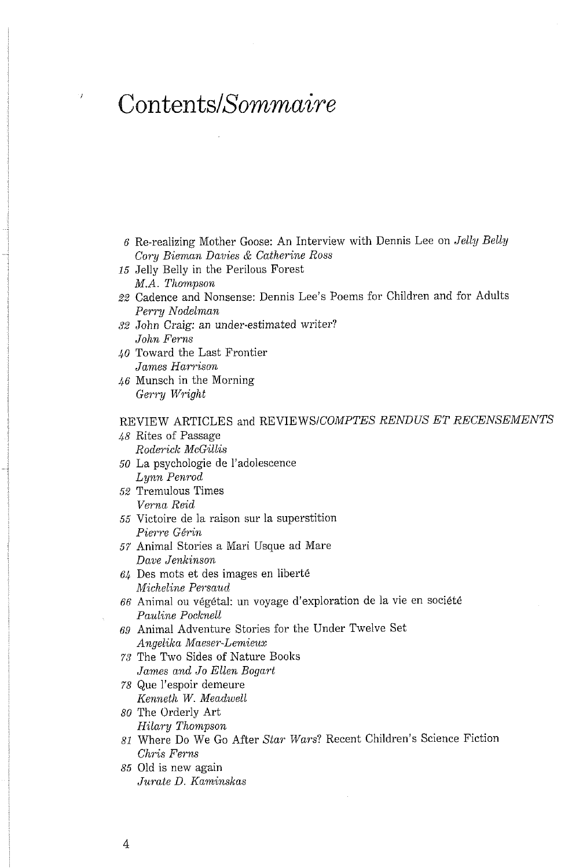## Contents/Sommaire

 $\bar{t}$ 

- 6 Re-realizing Mother Goose: An Interview with Dennis Lee on Jelly Belly Cory Bieman Davies & Catherine Ross
- 15 Jelly Belly in the Perilous Forest M.A. Thompson
- 22 Cadence and Nonsense: Dennis Lee's Poems for Children and for Adults Perry Nodelman
- 32 John Craig: an under-estimated writer? John Ferns
- 40 Toward the Last Frontier James Harrison
- $46$  Munsch in the Morning Gerry Wright

## REVIEW ARTICLES and REVIEWS/COMPTES RENDUS ET RECENSEMENTS

- 48 Rites of Passage Roderick McGillis
- 50 La psychologie de l'adolescence Lynn Penrod
- 52 Tremulous Times Verna Reid
- 55 Victoire de la raison sur la superstition Pierre Gérin
- 57 Animal Stories a Mari Usque ad Mare Dave Jenkinson
- $64$  Des mots et des images en liberté Micheline Persaud
- 66 Animal ou végétal: un voyage d'exploration de la vie en société Pauline Pocknell
- 69 Animal Adventure Stories for the Under Twelve Set Angelika Maeser-Lemieux
- 73 The Two Sides of Nature Books James and Jo Ellen Bogart
- 78 Que l'espoir demeure Kenneth W. Meadwell
- 80 The Orderly Art Hilary Thompson
- 81 Where Do We Go After Star Wars? Recent Children's Science Fiction Chris Ferns
- 85 Old is new again Jurate D. Kaminskas